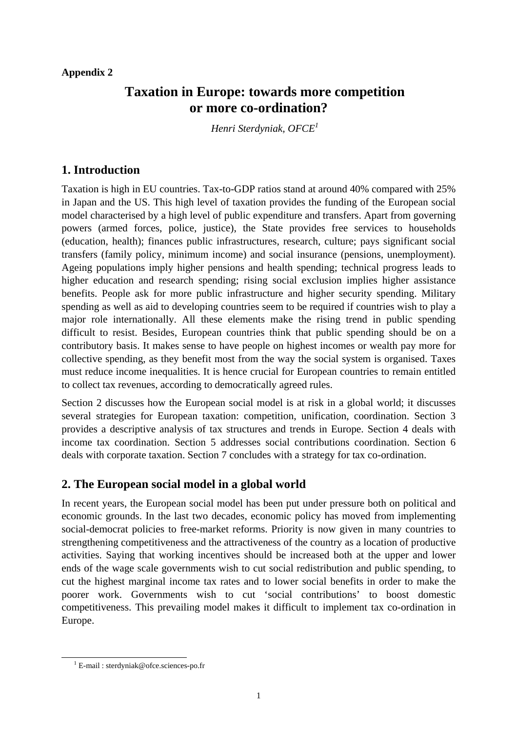#### **Appendix 2**

# **Taxation in Europe: towards more competition or more co-ordination?**

*Henri Sterdyniak, OFCE[1](#page-0-0)*

## **1. Introduction**

Taxation is high in EU countries. Tax-to-GDP ratios stand at around 40% compared with 25% in Japan and the US. This high level of taxation provides the funding of the European social model characterised by a high level of public expenditure and transfers. Apart from governing powers (armed forces, police, justice), the State provides free services to households (education, health); finances public infrastructures, research, culture; pays significant social transfers (family policy, minimum income) and social insurance (pensions, unemployment). Ageing populations imply higher pensions and health spending; technical progress leads to higher education and research spending; rising social exclusion implies higher assistance benefits. People ask for more public infrastructure and higher security spending. Military spending as well as aid to developing countries seem to be required if countries wish to play a major role internationally. All these elements make the rising trend in public spending difficult to resist. Besides, European countries think that public spending should be on a contributory basis. It makes sense to have people on highest incomes or wealth pay more for collective spending, as they benefit most from the way the social system is organised. Taxes must reduce income inequalities. It is hence crucial for European countries to remain entitled to collect tax revenues, according to democratically agreed rules.

Section 2 discusses how the European social model is at risk in a global world; it discusses several strategies for European taxation: competition, unification, coordination. Section 3 provides a descriptive analysis of tax structures and trends in Europe. Section 4 deals with income tax coordination. Section 5 addresses social contributions coordination. Section 6 deals with corporate taxation. Section 7 concludes with a strategy for tax co-ordination.

# **2. The European social model in a global world**

In recent years, the European social model has been put under pressure both on political and economic grounds. In the last two decades, economic policy has moved from implementing social-democrat policies to free-market reforms. Priority is now given in many countries to strengthening competitiveness and the attractiveness of the country as a location of productive activities. Saying that working incentives should be increased both at the upper and lower ends of the wage scale governments wish to cut social redistribution and public spending, to cut the highest marginal income tax rates and to lower social benefits in order to make the poorer work. Governments wish to cut 'social contributions' to boost domestic competitiveness. This prevailing model makes it difficult to implement tax co-ordination in Europe.

<span id="page-0-0"></span> <sup>1</sup> E-mail : sterdyniak@ofce.sciences-po.fr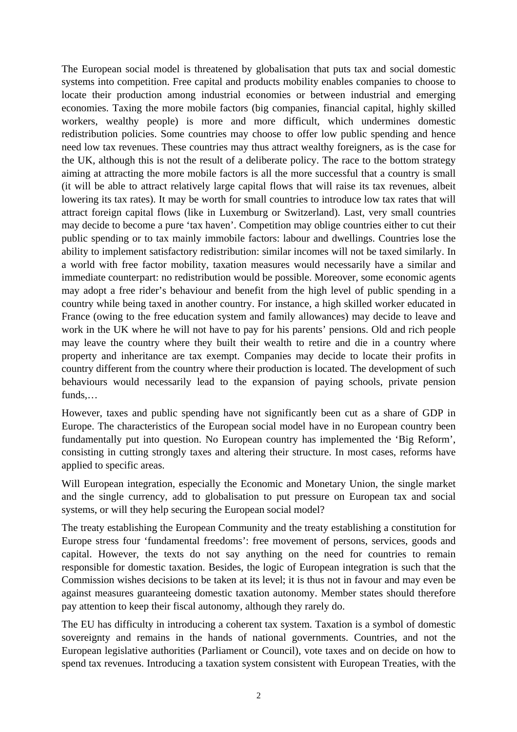The European social model is threatened by globalisation that puts tax and social domestic systems into competition. Free capital and products mobility enables companies to choose to locate their production among industrial economies or between industrial and emerging economies. Taxing the more mobile factors (big companies, financial capital, highly skilled workers, wealthy people) is more and more difficult, which undermines domestic redistribution policies. Some countries may choose to offer low public spending and hence need low tax revenues. These countries may thus attract wealthy foreigners, as is the case for the UK, although this is not the result of a deliberate policy. The race to the bottom strategy aiming at attracting the more mobile factors is all the more successful that a country is small (it will be able to attract relatively large capital flows that will raise its tax revenues, albeit lowering its tax rates). It may be worth for small countries to introduce low tax rates that will attract foreign capital flows (like in Luxemburg or Switzerland). Last, very small countries may decide to become a pure 'tax haven'. Competition may oblige countries either to cut their public spending or to tax mainly immobile factors: labour and dwellings. Countries lose the ability to implement satisfactory redistribution: similar incomes will not be taxed similarly. In a world with free factor mobility, taxation measures would necessarily have a similar and immediate counterpart: no redistribution would be possible. Moreover, some economic agents may adopt a free rider's behaviour and benefit from the high level of public spending in a country while being taxed in another country. For instance, a high skilled worker educated in France (owing to the free education system and family allowances) may decide to leave and work in the UK where he will not have to pay for his parents' pensions. Old and rich people may leave the country where they built their wealth to retire and die in a country where property and inheritance are tax exempt. Companies may decide to locate their profits in country different from the country where their production is located. The development of such behaviours would necessarily lead to the expansion of paying schools, private pension funds,…

However, taxes and public spending have not significantly been cut as a share of GDP in Europe. The characteristics of the European social model have in no European country been fundamentally put into question. No European country has implemented the 'Big Reform', consisting in cutting strongly taxes and altering their structure. In most cases, reforms have applied to specific areas.

Will European integration, especially the Economic and Monetary Union, the single market and the single currency, add to globalisation to put pressure on European tax and social systems, or will they help securing the European social model?

The treaty establishing the European Community and the treaty establishing a constitution for Europe stress four 'fundamental freedoms': free movement of persons, services, goods and capital. However, the texts do not say anything on the need for countries to remain responsible for domestic taxation. Besides, the logic of European integration is such that the Commission wishes decisions to be taken at its level; it is thus not in favour and may even be against measures guaranteeing domestic taxation autonomy. Member states should therefore pay attention to keep their fiscal autonomy, although they rarely do.

The EU has difficulty in introducing a coherent tax system. Taxation is a symbol of domestic sovereignty and remains in the hands of national governments. Countries, and not the European legislative authorities (Parliament or Council), vote taxes and on decide on how to spend tax revenues. Introducing a taxation system consistent with European Treaties, with the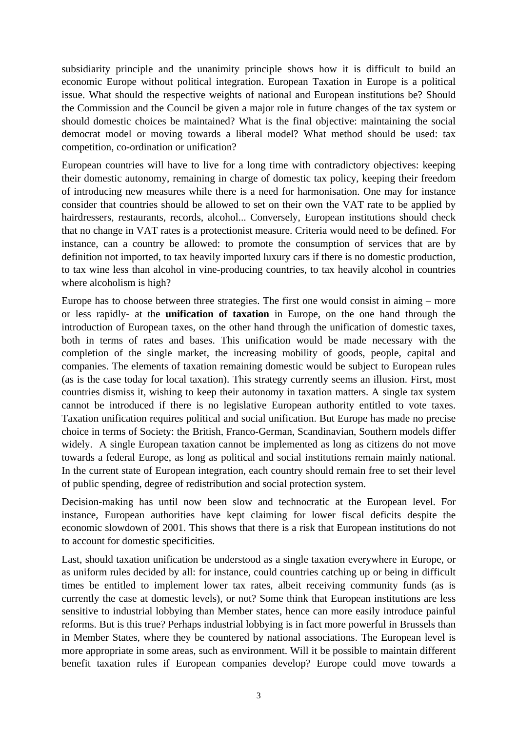subsidiarity principle and the unanimity principle shows how it is difficult to build an economic Europe without political integration. European Taxation in Europe is a political issue. What should the respective weights of national and European institutions be? Should the Commission and the Council be given a major role in future changes of the tax system or should domestic choices be maintained? What is the final objective: maintaining the social democrat model or moving towards a liberal model? What method should be used: tax competition, co-ordination or unification?

European countries will have to live for a long time with contradictory objectives: keeping their domestic autonomy, remaining in charge of domestic tax policy, keeping their freedom of introducing new measures while there is a need for harmonisation. One may for instance consider that countries should be allowed to set on their own the VAT rate to be applied by hairdressers, restaurants, records, alcohol... Conversely, European institutions should check that no change in VAT rates is a protectionist measure. Criteria would need to be defined. For instance, can a country be allowed: to promote the consumption of services that are by definition not imported, to tax heavily imported luxury cars if there is no domestic production, to tax wine less than alcohol in vine-producing countries, to tax heavily alcohol in countries where alcoholism is high?

Europe has to choose between three strategies. The first one would consist in aiming – more or less rapidly- at the **unification of taxation** in Europe, on the one hand through the introduction of European taxes, on the other hand through the unification of domestic taxes, both in terms of rates and bases. This unification would be made necessary with the completion of the single market, the increasing mobility of goods, people, capital and companies. The elements of taxation remaining domestic would be subject to European rules (as is the case today for local taxation). This strategy currently seems an illusion. First, most countries dismiss it, wishing to keep their autonomy in taxation matters. A single tax system cannot be introduced if there is no legislative European authority entitled to vote taxes. Taxation unification requires political and social unification. But Europe has made no precise choice in terms of Society: the British, Franco-German, Scandinavian, Southern models differ widely. A single European taxation cannot be implemented as long as citizens do not move towards a federal Europe, as long as political and social institutions remain mainly national. In the current state of European integration, each country should remain free to set their level of public spending, degree of redistribution and social protection system.

Decision-making has until now been slow and technocratic at the European level. For instance, European authorities have kept claiming for lower fiscal deficits despite the economic slowdown of 2001. This shows that there is a risk that European institutions do not to account for domestic specificities.

Last, should taxation unification be understood as a single taxation everywhere in Europe, or as uniform rules decided by all: for instance, could countries catching up or being in difficult times be entitled to implement lower tax rates, albeit receiving community funds (as is currently the case at domestic levels), or not? Some think that European institutions are less sensitive to industrial lobbying than Member states, hence can more easily introduce painful reforms. But is this true? Perhaps industrial lobbying is in fact more powerful in Brussels than in Member States, where they be countered by national associations. The European level is more appropriate in some areas, such as environment. Will it be possible to maintain different benefit taxation rules if European companies develop? Europe could move towards a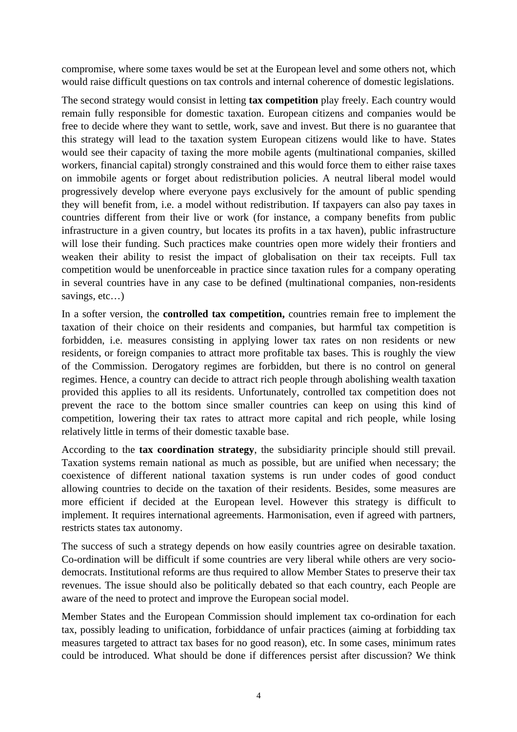compromise, where some taxes would be set at the European level and some others not, which would raise difficult questions on tax controls and internal coherence of domestic legislations.

The second strategy would consist in letting **tax competition** play freely. Each country would remain fully responsible for domestic taxation. European citizens and companies would be free to decide where they want to settle, work, save and invest. But there is no guarantee that this strategy will lead to the taxation system European citizens would like to have. States would see their capacity of taxing the more mobile agents (multinational companies, skilled workers, financial capital) strongly constrained and this would force them to either raise taxes on immobile agents or forget about redistribution policies. A neutral liberal model would progressively develop where everyone pays exclusively for the amount of public spending they will benefit from, i.e. a model without redistribution. If taxpayers can also pay taxes in countries different from their live or work (for instance, a company benefits from public infrastructure in a given country, but locates its profits in a tax haven), public infrastructure will lose their funding. Such practices make countries open more widely their frontiers and weaken their ability to resist the impact of globalisation on their tax receipts. Full tax competition would be unenforceable in practice since taxation rules for a company operating in several countries have in any case to be defined (multinational companies, non-residents savings, etc…)

In a softer version, the **controlled tax competition,** countries remain free to implement the taxation of their choice on their residents and companies, but harmful tax competition is forbidden, i.e. measures consisting in applying lower tax rates on non residents or new residents, or foreign companies to attract more profitable tax bases. This is roughly the view of the Commission. Derogatory regimes are forbidden, but there is no control on general regimes. Hence, a country can decide to attract rich people through abolishing wealth taxation provided this applies to all its residents. Unfortunately, controlled tax competition does not prevent the race to the bottom since smaller countries can keep on using this kind of competition, lowering their tax rates to attract more capital and rich people, while losing relatively little in terms of their domestic taxable base.

According to the **tax coordination strategy**, the subsidiarity principle should still prevail. Taxation systems remain national as much as possible, but are unified when necessary; the coexistence of different national taxation systems is run under codes of good conduct allowing countries to decide on the taxation of their residents. Besides, some measures are more efficient if decided at the European level. However this strategy is difficult to implement. It requires international agreements. Harmonisation, even if agreed with partners, restricts states tax autonomy.

The success of such a strategy depends on how easily countries agree on desirable taxation. Co-ordination will be difficult if some countries are very liberal while others are very sociodemocrats. Institutional reforms are thus required to allow Member States to preserve their tax revenues. The issue should also be politically debated so that each country, each People are aware of the need to protect and improve the European social model.

Member States and the European Commission should implement tax co-ordination for each tax, possibly leading to unification, forbiddance of unfair practices (aiming at forbidding tax measures targeted to attract tax bases for no good reason), etc. In some cases, minimum rates could be introduced. What should be done if differences persist after discussion? We think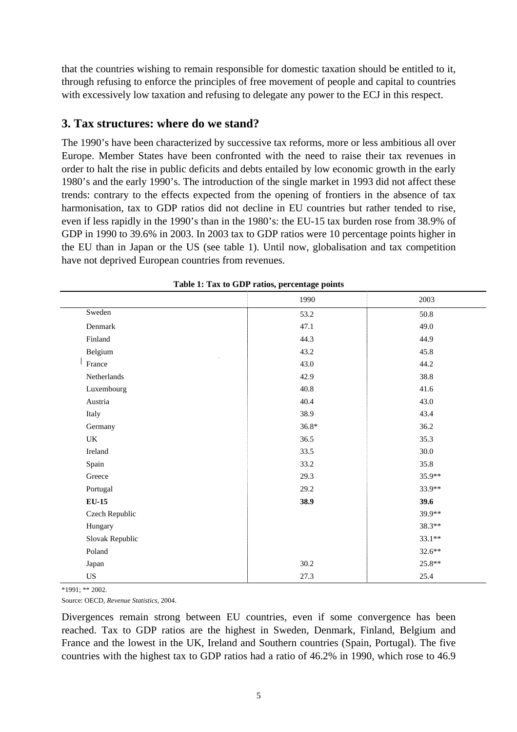that the countries wishing to remain responsible for domestic taxation should be entitled to it, through refusing to enforce the principles of free movement of people and capital to countries with excessively low taxation and refusing to delegate any power to the ECJ in this respect.

### **3. Tax structures: where do we stand?**

The 1990's have been characterized by successive tax reforms, more or less ambitious all over Europe. Member States have been confronted with the need to raise their tax revenues in order to halt the rise in public deficits and debts entailed by low economic growth in the early 1980's and the early 1990's. The introduction of the single market in 1993 did not affect these trends: contrary to the effects expected from the opening of frontiers in the absence of tax harmonisation, tax to GDP ratios did not decline in EU countries but rather tended to rise, even if less rapidly in the 1990's than in the 1980's: the EU-15 tax burden rose from 38.9% of GDP in 1990 to 39.6% in 2003. In 2003 tax to GDP ratios were 10 percentage points higher in the EU than in Japan or the US (see table 1). Until now, globalisation and tax competition have not deprived European countries from revenues.

|                                   | ╯-<br>ັ |          |
|-----------------------------------|---------|----------|
|                                   | 1990    | 2003     |
| Sweden                            | 53.2    | 50.8     |
| Denmark                           | 47.1    | 49.0     |
| Finland                           | 44.3    | 44.9     |
| Belgium                           | 43.2    | 45.8     |
| France                            | 43.0    | 44.2     |
| Netherlands                       | 42.9    | 38.8     |
| Luxembourg                        | 40.8    | 41.6     |
| Austria                           | 40.4    | 43.0     |
| Italy                             | 38.9    | 43.4     |
| Germany                           | $36.8*$ | 36.2     |
| $\ensuremath{\mathsf{UK}}\xspace$ | 36.5    | 35.3     |
| Ireland                           | 33.5    | 30.0     |
| Spain                             | 33.2    | 35.8     |
| Greece                            | 29.3    | 35.9**   |
| Portugal                          | 29.2    | 33.9**   |
| $EU-15$                           | 38.9    | 39.6     |
| Czech Republic                    |         | 39.9**   |
| Hungary                           |         | 38.3**   |
| Slovak Republic                   |         | $33.1**$ |
| Poland                            |         | $32.6**$ |
| Japan                             | 30.2    | 25.8**   |
| US                                | 27.3    | 25.4     |

|  |  |  |  | Table 1: Tax to GDP ratios, percentage points |  |
|--|--|--|--|-----------------------------------------------|--|
|--|--|--|--|-----------------------------------------------|--|

\*1991; \*\* 2002.

Source: OECD, *Revenue Statistics*, 2004.

Divergences remain strong between EU countries, even if some convergence has been reached. Tax to GDP ratios are the highest in Sweden, Denmark, Finland, Belgium and France and the lowest in the UK, Ireland and Southern countries (Spain, Portugal). The five countries with the highest tax to GDP ratios had a ratio of 46.2% in 1990, which rose to 46.9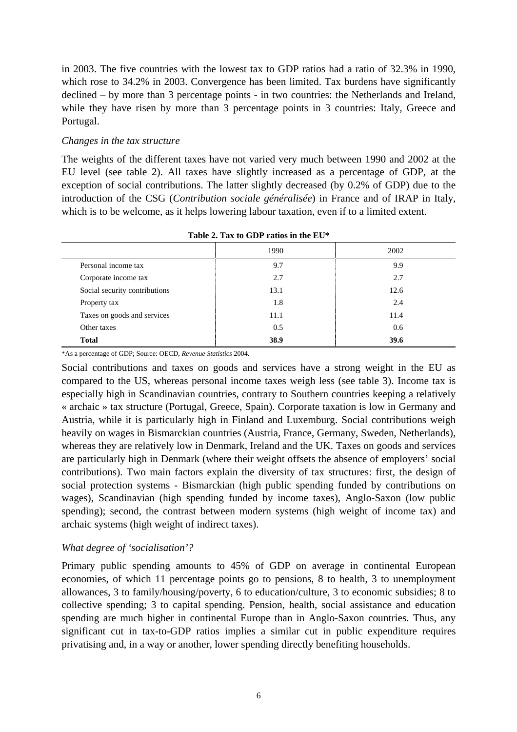in 2003. The five countries with the lowest tax to GDP ratios had a ratio of 32.3% in 1990, which rose to 34.2% in 2003. Convergence has been limited. Tax burdens have significantly declined – by more than 3 percentage points - in two countries: the Netherlands and Ireland, while they have risen by more than 3 percentage points in 3 countries: Italy, Greece and Portugal.

#### *Changes in the tax structure*

The weights of the different taxes have not varied very much between 1990 and 2002 at the EU level (see table 2). All taxes have slightly increased as a percentage of GDP, at the exception of social contributions. The latter slightly decreased (by 0.2% of GDP) due to the introduction of the CSG (*Contribution sociale généralisée*) in France and of IRAP in Italy, which is to be welcome, as it helps lowering labour taxation, even if to a limited extent.

|                               | 1990 | 2002 |
|-------------------------------|------|------|
| Personal income tax           | 9.7  | 9.9  |
| Corporate income tax          | 2.7  | 2.7  |
| Social security contributions | 13.1 | 12.6 |
| Property tax                  | 1.8  | 2.4  |
| Taxes on goods and services   | 11.1 | 11.4 |
| Other taxes                   | 0.5  | 0.6  |
| <b>Total</b>                  | 38.9 | 39.6 |
|                               |      |      |

**Table 2. Tax to GDP ratios in the EU\*** 

\*As a percentage of GDP; Source: OECD, *Revenue Statistics* 2004.

Social contributions and taxes on goods and services have a strong weight in the EU as compared to the US, whereas personal income taxes weigh less (see table 3). Income tax is especially high in Scandinavian countries, contrary to Southern countries keeping a relatively « archaic » tax structure (Portugal, Greece, Spain). Corporate taxation is low in Germany and Austria, while it is particularly high in Finland and Luxemburg. Social contributions weigh heavily on wages in Bismarckian countries (Austria, France, Germany, Sweden, Netherlands), whereas they are relatively low in Denmark, Ireland and the UK. Taxes on goods and services are particularly high in Denmark (where their weight offsets the absence of employers' social contributions). Two main factors explain the diversity of tax structures: first, the design of social protection systems - Bismarckian (high public spending funded by contributions on wages), Scandinavian (high spending funded by income taxes), Anglo-Saxon (low public spending); second, the contrast between modern systems (high weight of income tax) and archaic systems (high weight of indirect taxes).

#### *What degree of 'socialisation'?*

Primary public spending amounts to 45% of GDP on average in continental European economies, of which 11 percentage points go to pensions, 8 to health, 3 to unemployment allowances, 3 to family/housing/poverty, 6 to education/culture, 3 to economic subsidies; 8 to collective spending; 3 to capital spending. Pension, health, social assistance and education spending are much higher in continental Europe than in Anglo-Saxon countries. Thus, any significant cut in tax-to-GDP ratios implies a similar cut in public expenditure requires privatising and, in a way or another, lower spending directly benefiting households.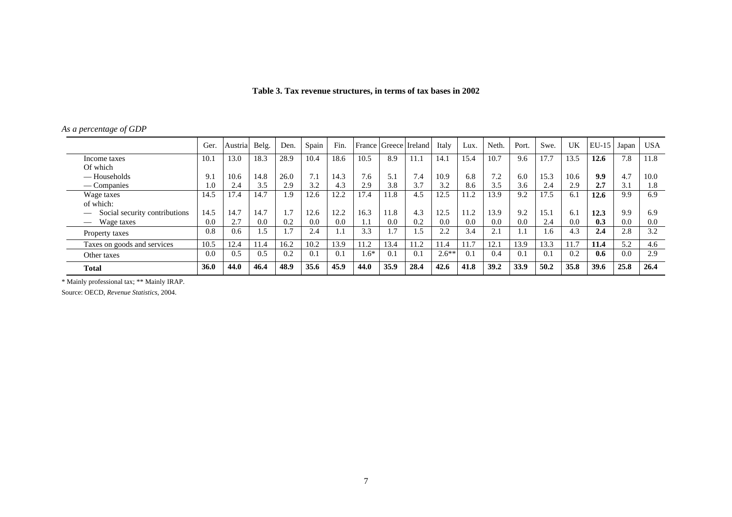| Table 3. Tax revenue structures, in terms of tax bases in 2002 |  |
|----------------------------------------------------------------|--|
|                                                                |  |

|  |  | As a percentage of GDP |  |
|--|--|------------------------|--|
|--|--|------------------------|--|

|                                           | Ger.        | Austria | Belg. | Den. | Spain | Fin. |        |      | France   Greece   Ireland | Italy   | Lux. | Neth. | Port. | Swe. | UK   | $EU-15$ | Japan | <b>USA</b> |
|-------------------------------------------|-------------|---------|-------|------|-------|------|--------|------|---------------------------|---------|------|-------|-------|------|------|---------|-------|------------|
| Income taxes                              | 10.1        | 13.0    | 18.3  | 28.9 | 10.4  | 18.6 | 10.5   | 8.9  | 11.1                      | 14.1    | 15.4 | 10.7  | 9.6   | 17.7 | 13.5 | 12.6    | 7.8   | 11.8       |
| Of which                                  |             |         |       |      |       |      |        |      |                           |         |      |       |       |      |      |         |       |            |
| — Households                              | 9.1         | 10.6    | 14.8  | 26.0 | 7.1   | 14.3 | 7.6    | 5.1  | 7.4                       | 10.9    | 6.8  | 7.2   | 6.0   | 15.3 | 10.6 | 9.9     | 4.7   | 10.0       |
| — Companies                               | 1.0         | 2.4     | 3.5   | 2.9  | 3.2   | 4.3  | 2.9    | 3.8  | 3.7                       | 3.2     | 8.6  | 3.5   | 3.6   | 2.4  | 2.9  | 2.7     | 3.1   | 1.8        |
| Wage taxes                                | 14.5        | 17.4    | 14.7  | 1.9  | 12.6  | 12.2 | 17.4   | 11.8 | 4.5                       | 12.5    | 11.2 | 13.9  | 9.2   | 17.5 | 6.1  | 12.6    | 9.9   | 6.9        |
| of which:                                 |             |         |       |      |       |      |        |      |                           |         |      |       |       |      |      |         |       |            |
| Social security contributions<br><u>—</u> | 14.5        | 14.7    | 14.7  | 1.7  | 12.6  | 12.2 | 16.3   | 11.8 | 4.3                       | 12.5    | 11.2 | 13.9  | 9.2   | 15.1 | 6.1  | 12.3    | 9.9   | 6.9        |
| Wage taxes                                | 0.0         | 2.7     | 0.0   | 0.2  | 0.0   | 0.0  | 1.1    | 0.0  | 0.2                       | 0.0     | 0.0  | 0.0   | 0.0   | 2.4  | 0.0  | 0.3     | 0.0   | 0.0        |
| Property taxes                            | 0.8         | 0.6     | 1.5   | 1.7  | 2.4   | 1.1  | 3.3    | 1.7  | . .5                      | 2.2     | 3.4  | 2.1   |       | 1.6  | 4.3  | 2.4     | 2.8   | 3.2        |
| Taxes on goods and services               | 10.5        | 12.4    | 11.4  | 16.2 | 10.2  | 13.9 | 11.2   | 13.4 | 11.2                      | 11.4    | 11.7 | 12.1  | 13.9  | 13.3 | 11.7 | 11.4    | 5.2   | 4.6        |
| Other taxes                               | 0.0         | 0.5     | 0.5   | 0.2  | 0.1   | 0.1  | $1.6*$ | 0.1  | 0.1                       | $2.6**$ | 0.1  | 0.4   | 0.1   | 0.1  | 0.2  | 0.6     | 0.0   | 2.9        |
| <b>Total</b>                              | <b>36.0</b> | 44.0    | 46.4  | 48.9 | 35.6  | 45.9 | 44.0   | 35.9 | 28.4                      | 42.6    | 41.8 | 39.2  | 33.9  | 50.2 | 35.8 | 39.6    | 25.8  | 26.4       |

\* Mainly professional tax; \*\* Mainly IRAP.

Source: OECD, *Revenue Statistics*, 2004.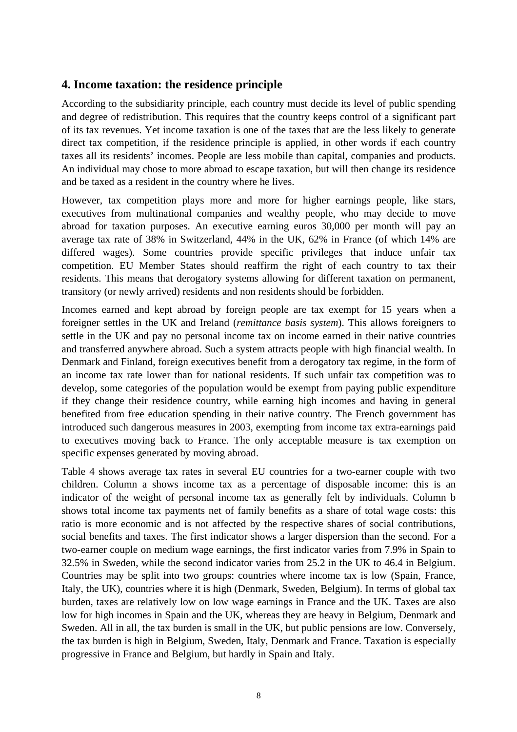## **4. Income taxation: the residence principle**

According to the subsidiarity principle, each country must decide its level of public spending and degree of redistribution. This requires that the country keeps control of a significant part of its tax revenues. Yet income taxation is one of the taxes that are the less likely to generate direct tax competition, if the residence principle is applied, in other words if each country taxes all its residents' incomes. People are less mobile than capital, companies and products. An individual may chose to more abroad to escape taxation, but will then change its residence and be taxed as a resident in the country where he lives.

However, tax competition plays more and more for higher earnings people, like stars, executives from multinational companies and wealthy people, who may decide to move abroad for taxation purposes. An executive earning euros 30,000 per month will pay an average tax rate of 38% in Switzerland, 44% in the UK, 62% in France (of which 14% are differed wages). Some countries provide specific privileges that induce unfair tax competition. EU Member States should reaffirm the right of each country to tax their residents. This means that derogatory systems allowing for different taxation on permanent, transitory (or newly arrived) residents and non residents should be forbidden.

Incomes earned and kept abroad by foreign people are tax exempt for 15 years when a foreigner settles in the UK and Ireland (*remittance basis system*). This allows foreigners to settle in the UK and pay no personal income tax on income earned in their native countries and transferred anywhere abroad. Such a system attracts people with high financial wealth. In Denmark and Finland, foreign executives benefit from a derogatory tax regime, in the form of an income tax rate lower than for national residents. If such unfair tax competition was to develop, some categories of the population would be exempt from paying public expenditure if they change their residence country, while earning high incomes and having in general benefited from free education spending in their native country. The French government has introduced such dangerous measures in 2003, exempting from income tax extra-earnings paid to executives moving back to France. The only acceptable measure is tax exemption on specific expenses generated by moving abroad.

Table 4 shows average tax rates in several EU countries for a two-earner couple with two children. Column a shows income tax as a percentage of disposable income: this is an indicator of the weight of personal income tax as generally felt by individuals. Column b shows total income tax payments net of family benefits as a share of total wage costs: this ratio is more economic and is not affected by the respective shares of social contributions, social benefits and taxes. The first indicator shows a larger dispersion than the second. For a two-earner couple on medium wage earnings, the first indicator varies from 7.9% in Spain to 32.5% in Sweden, while the second indicator varies from 25.2 in the UK to 46.4 in Belgium. Countries may be split into two groups: countries where income tax is low (Spain, France, Italy, the UK), countries where it is high (Denmark, Sweden, Belgium). In terms of global tax burden, taxes are relatively low on low wage earnings in France and the UK. Taxes are also low for high incomes in Spain and the UK, whereas they are heavy in Belgium, Denmark and Sweden. All in all, the tax burden is small in the UK, but public pensions are low. Conversely, the tax burden is high in Belgium, Sweden, Italy, Denmark and France. Taxation is especially progressive in France and Belgium, but hardly in Spain and Italy.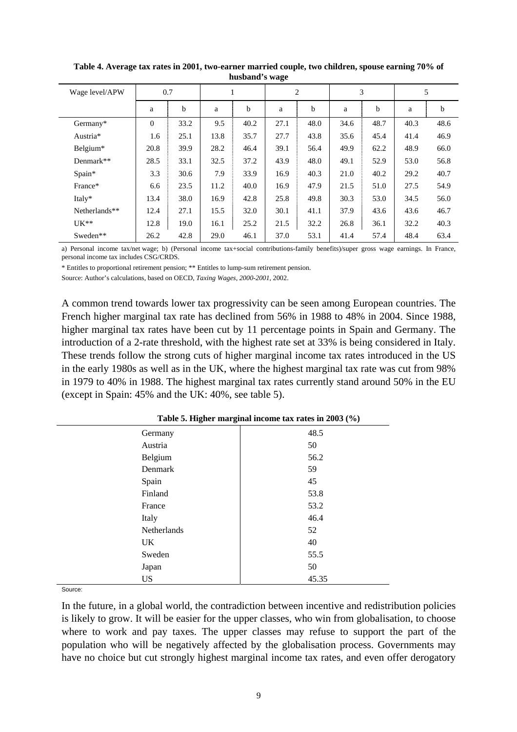| Wage level/APW | 0.7            |      |      |      |      | $\overline{c}$ |      | 3    | 5    |      |  |
|----------------|----------------|------|------|------|------|----------------|------|------|------|------|--|
|                | a              | b    | a    | b    | a    | b              | a    | b    | a    | b    |  |
| Germany*       | $\overline{0}$ | 33.2 | 9.5  | 40.2 | 27.1 | 48.0           | 34.6 | 48.7 | 40.3 | 48.6 |  |
| Austria*       | 1.6            | 25.1 | 13.8 | 35.7 | 27.7 | 43.8           | 35.6 | 45.4 | 41.4 | 46.9 |  |
| Belgium*       | 20.8           | 39.9 | 28.2 | 46.4 | 39.1 | 56.4           | 49.9 | 62.2 | 48.9 | 66.0 |  |
| Denmark**      | 28.5           | 33.1 | 32.5 | 37.2 | 43.9 | 48.0           | 49.1 | 52.9 | 53.0 | 56.8 |  |
| Spain*         | 3.3            | 30.6 | 7.9  | 33.9 | 16.9 | 40.3           | 21.0 | 40.2 | 29.2 | 40.7 |  |
| France*        | 6.6            | 23.5 | 11.2 | 40.0 | 16.9 | 47.9           | 21.5 | 51.0 | 27.5 | 54.9 |  |
| Italy*         | 13.4           | 38.0 | 16.9 | 42.8 | 25.8 | 49.8           | 30.3 | 53.0 | 34.5 | 56.0 |  |
| Netherlands**  | 12.4           | 27.1 | 15.5 | 32.0 | 30.1 | 41.1           | 37.9 | 43.6 | 43.6 | 46.7 |  |
| $UK**$         | 12.8           | 19.0 | 16.1 | 25.2 | 21.5 | 32.2           | 26.8 | 36.1 | 32.2 | 40.3 |  |
| Sweden**       | 26.2           | 42.8 | 29.0 | 46.1 | 37.0 | 53.1           | 41.4 | 57.4 | 48.4 | 63.4 |  |

**Table 4. Average tax rates in 2001, two-earner married couple, two children, spouse earning 70% of husband's wage** 

a) Personal income tax/net wage; b) (Personal income tax+social contributions-family benefits)/super gross wage earnings. In France, personal income tax includes CSG/CRDS.

\* Entitles to proportional retirement pension; \*\* Entitles to lump-sum retirement pension.

Source: Author's calculations, based on OECD, *Taxing Wages, 2000-2001*, 2002.

A common trend towards lower tax progressivity can be seen among European countries. The French higher marginal tax rate has declined from 56% in 1988 to 48% in 2004. Since 1988, higher marginal tax rates have been cut by 11 percentage points in Spain and Germany. The introduction of a 2-rate threshold, with the highest rate set at 33% is being considered in Italy. These trends follow the strong cuts of higher marginal income tax rates introduced in the US in the early 1980s as well as in the UK, where the highest marginal tax rate was cut from 98% in 1979 to 40% in 1988. The highest marginal tax rates currently stand around 50% in the EU (except in Spain: 45% and the UK: 40%, see table 5).

|             | Tuble of Ingher marginar income tax rates in 2000 (70) |
|-------------|--------------------------------------------------------|
| Germany     | 48.5                                                   |
| Austria     | 50                                                     |
| Belgium     | 56.2                                                   |
| Denmark     | 59                                                     |
| Spain       | 45                                                     |
| Finland     | 53.8                                                   |
| France      | 53.2                                                   |
| Italy       | 46.4                                                   |
| Netherlands | 52                                                     |
| UK          | 40                                                     |
| Sweden      | 55.5                                                   |
| Japan       | 50                                                     |
| <b>US</b>   | 45.35                                                  |

**Table 5. Higher marginal income tax rates in 2003 (%)** 

Source:

In the future, in a global world, the contradiction between incentive and redistribution policies is likely to grow. It will be easier for the upper classes, who win from globalisation, to choose where to work and pay taxes. The upper classes may refuse to support the part of the population who will be negatively affected by the globalisation process. Governments may have no choice but cut strongly highest marginal income tax rates, and even offer derogatory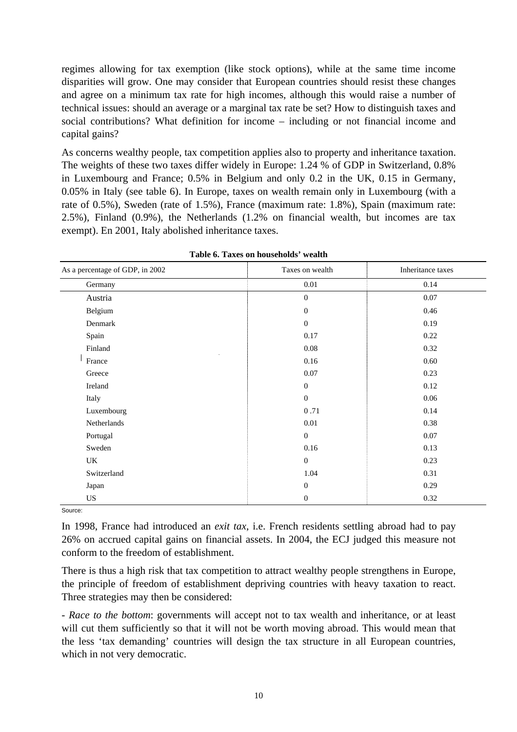regimes allowing for tax exemption (like stock options), while at the same time income disparities will grow. One may consider that European countries should resist these changes and agree on a minimum tax rate for high incomes, although this would raise a number of technical issues: should an average or a marginal tax rate be set? How to distinguish taxes and social contributions? What definition for income – including or not financial income and capital gains?

As concerns wealthy people, tax competition applies also to property and inheritance taxation. The weights of these two taxes differ widely in Europe: 1.24 % of GDP in Switzerland, 0.8% in Luxembourg and France; 0.5% in Belgium and only 0.2 in the UK, 0.15 in Germany, 0.05% in Italy (see table 6). In Europe, taxes on wealth remain only in Luxembourg (with a rate of 0.5%), Sweden (rate of 1.5%), France (maximum rate: 1.8%), Spain (maximum rate: 2.5%), Finland (0.9%), the Netherlands (1.2% on financial wealth, but incomes are tax exempt). En 2001, Italy abolished inheritance taxes.

| As a percentage of GDP, in 2002 | Taxes on wealth  | Inheritance taxes |
|---------------------------------|------------------|-------------------|
| Germany                         | $0.01\,$         | 0.14              |
| Austria                         | $\boldsymbol{0}$ | 0.07              |
| Belgium                         | $\overline{0}$   | 0.46              |
| Denmark                         | $\mathbf{0}$     | 0.19              |
| Spain                           | 0.17             | 0.22              |
| Finland                         | 0.08             | 0.32              |
| France                          | 0.16             | 0.60              |
| Greece                          | 0.07             | 0.23              |
| Ireland                         | $\mathbf{0}$     | 0.12              |
| Italy                           | $\mathbf{0}$     | 0.06              |
| Luxembourg                      | 0.71             | 0.14              |
| Netherlands                     | 0.01             | 0.38              |
| Portugal                        | $\mathbf{0}$     | 0.07              |
| Sweden                          | 0.16             | 0.13              |
| UK                              | $\mathbf{0}$     | 0.23              |
| Switzerland                     | 1.04             | 0.31              |
| Japan                           | $\boldsymbol{0}$ | 0.29              |
| US                              | $\mathbf{0}$     | 0.32              |

Source:

In 1998, France had introduced an *exit tax*, i.e. French residents settling abroad had to pay 26% on accrued capital gains on financial assets. In 2004, the ECJ judged this measure not conform to the freedom of establishment.

There is thus a high risk that tax competition to attract wealthy people strengthens in Europe, the principle of freedom of establishment depriving countries with heavy taxation to react. Three strategies may then be considered:

- *Race to the bottom*: governments will accept not to tax wealth and inheritance, or at least will cut them sufficiently so that it will not be worth moving abroad. This would mean that the less 'tax demanding' countries will design the tax structure in all European countries, which in not very democratic.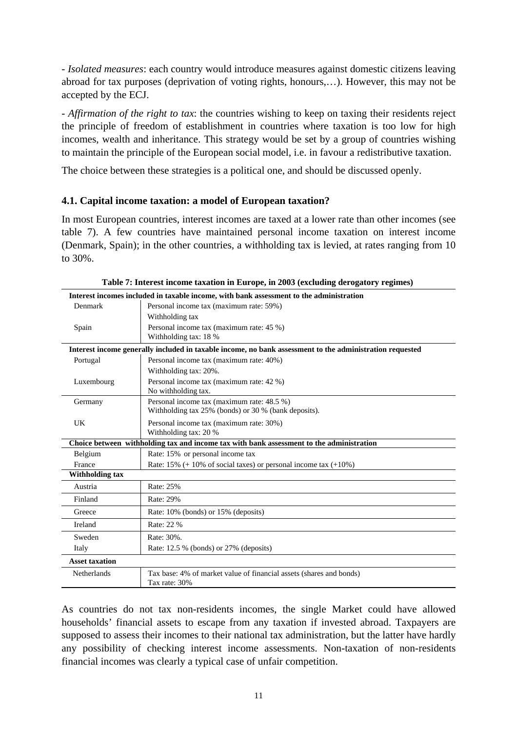- *Isolated measures*: each country would introduce measures against domestic citizens leaving abroad for tax purposes (deprivation of voting rights, honours,…). However, this may not be accepted by the ECJ.

- *Affirmation of the right to tax*: the countries wishing to keep on taxing their residents reject the principle of freedom of establishment in countries where taxation is too low for high incomes, wealth and inheritance. This strategy would be set by a group of countries wishing to maintain the principle of the European social model, i.e. in favour a redistributive taxation.

The choice between these strategies is a political one, and should be discussed openly.

### **4.1. Capital income taxation: a model of European taxation?**

In most European countries, interest incomes are taxed at a lower rate than other incomes (see table 7). A few countries have maintained personal income taxation on interest income (Denmark, Spain); in the other countries, a withholding tax is levied, at rates ranging from 10 to 30%.

|                        | Interest incomes included in taxable income, with bank assessment to the administration                  |  |  |  |  |  |  |
|------------------------|----------------------------------------------------------------------------------------------------------|--|--|--|--|--|--|
| Denmark                | Personal income tax (maximum rate: 59%)                                                                  |  |  |  |  |  |  |
|                        | Withholding tax                                                                                          |  |  |  |  |  |  |
| Spain                  | Personal income tax (maximum rate: 45 %)                                                                 |  |  |  |  |  |  |
|                        | Withholding tax: 18 %                                                                                    |  |  |  |  |  |  |
|                        | Interest income generally included in taxable income, no bank assessment to the administration requested |  |  |  |  |  |  |
| Portugal               | Personal income tax (maximum rate: 40%)                                                                  |  |  |  |  |  |  |
|                        | Withholding tax: 20%.                                                                                    |  |  |  |  |  |  |
| Luxembourg             | Personal income tax (maximum rate: 42 %)                                                                 |  |  |  |  |  |  |
|                        | No withholding tax.                                                                                      |  |  |  |  |  |  |
| Germany                | Personal income tax (maximum rate: 48.5 %)                                                               |  |  |  |  |  |  |
|                        | Withholding tax 25% (bonds) or 30 % (bank deposits).                                                     |  |  |  |  |  |  |
| UK                     | Personal income tax (maximum rate: 30%)                                                                  |  |  |  |  |  |  |
|                        | Withholding tax: 20 %                                                                                    |  |  |  |  |  |  |
|                        | Choice between withholding tax and income tax with bank assessment to the administration                 |  |  |  |  |  |  |
| Belgium                | Rate: 15% or personal income tax                                                                         |  |  |  |  |  |  |
| France                 | Rate: 15% $(+ 10\% \text{ of social taxes})$ or personal income tax $(+10\%)$                            |  |  |  |  |  |  |
| <b>Withholding tax</b> |                                                                                                          |  |  |  |  |  |  |
| Austria                | Rate: 25%                                                                                                |  |  |  |  |  |  |
| Finland                | Rate: 29%                                                                                                |  |  |  |  |  |  |
| Greece                 | Rate: 10% (bonds) or 15% (deposits)                                                                      |  |  |  |  |  |  |
| Ireland                | Rate: 22 %                                                                                               |  |  |  |  |  |  |
| Sweden                 | Rate: 30%.                                                                                               |  |  |  |  |  |  |
| Italy                  | Rate: $12.5\%$ (bonds) or $27\%$ (deposits)                                                              |  |  |  |  |  |  |
| <b>Asset taxation</b>  |                                                                                                          |  |  |  |  |  |  |
| Netherlands            | Tax base: 4% of market value of financial assets (shares and bonds)                                      |  |  |  |  |  |  |
|                        | Tax rate: 30%                                                                                            |  |  |  |  |  |  |

As countries do not tax non-residents incomes, the single Market could have allowed households' financial assets to escape from any taxation if invested abroad. Taxpayers are supposed to assess their incomes to their national tax administration, but the latter have hardly any possibility of checking interest income assessments. Non-taxation of non-residents financial incomes was clearly a typical case of unfair competition.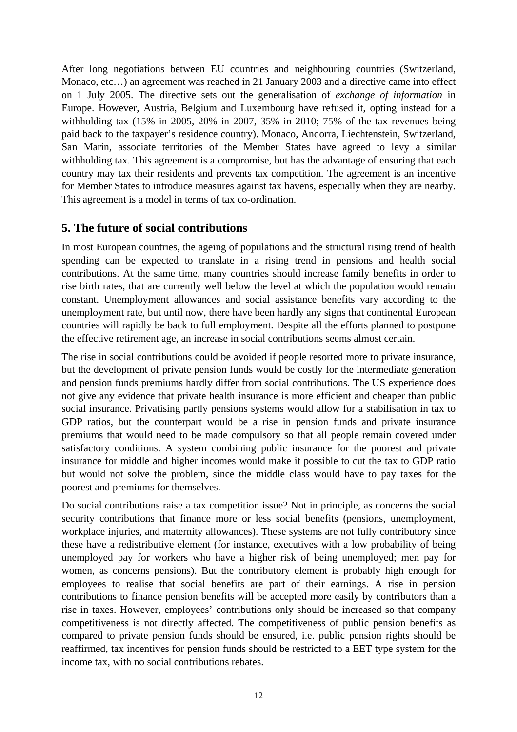After long negotiations between EU countries and neighbouring countries (Switzerland, Monaco, etc…) an agreement was reached in 21 January 2003 and a directive came into effect on 1 July 2005. The directive sets out the generalisation of *exchange of information* in Europe. However, Austria, Belgium and Luxembourg have refused it, opting instead for a withholding tax (15% in 2005, 20% in 2007, 35% in 2010; 75% of the tax revenues being paid back to the taxpayer's residence country). Monaco, Andorra, Liechtenstein, Switzerland, San Marin, associate territories of the Member States have agreed to levy a similar withholding tax. This agreement is a compromise, but has the advantage of ensuring that each country may tax their residents and prevents tax competition. The agreement is an incentive for Member States to introduce measures against tax havens, especially when they are nearby. This agreement is a model in terms of tax co-ordination.

### **5. The future of social contributions**

In most European countries, the ageing of populations and the structural rising trend of health spending can be expected to translate in a rising trend in pensions and health social contributions. At the same time, many countries should increase family benefits in order to rise birth rates, that are currently well below the level at which the population would remain constant. Unemployment allowances and social assistance benefits vary according to the unemployment rate, but until now, there have been hardly any signs that continental European countries will rapidly be back to full employment. Despite all the efforts planned to postpone the effective retirement age, an increase in social contributions seems almost certain.

The rise in social contributions could be avoided if people resorted more to private insurance, but the development of private pension funds would be costly for the intermediate generation and pension funds premiums hardly differ from social contributions. The US experience does not give any evidence that private health insurance is more efficient and cheaper than public social insurance. Privatising partly pensions systems would allow for a stabilisation in tax to GDP ratios, but the counterpart would be a rise in pension funds and private insurance premiums that would need to be made compulsory so that all people remain covered under satisfactory conditions. A system combining public insurance for the poorest and private insurance for middle and higher incomes would make it possible to cut the tax to GDP ratio but would not solve the problem, since the middle class would have to pay taxes for the poorest and premiums for themselves.

Do social contributions raise a tax competition issue? Not in principle, as concerns the social security contributions that finance more or less social benefits (pensions, unemployment, workplace injuries, and maternity allowances). These systems are not fully contributory since these have a redistributive element (for instance, executives with a low probability of being unemployed pay for workers who have a higher risk of being unemployed; men pay for women, as concerns pensions). But the contributory element is probably high enough for employees to realise that social benefits are part of their earnings. A rise in pension contributions to finance pension benefits will be accepted more easily by contributors than a rise in taxes. However, employees' contributions only should be increased so that company competitiveness is not directly affected. The competitiveness of public pension benefits as compared to private pension funds should be ensured, i.e. public pension rights should be reaffirmed, tax incentives for pension funds should be restricted to a EET type system for the income tax, with no social contributions rebates.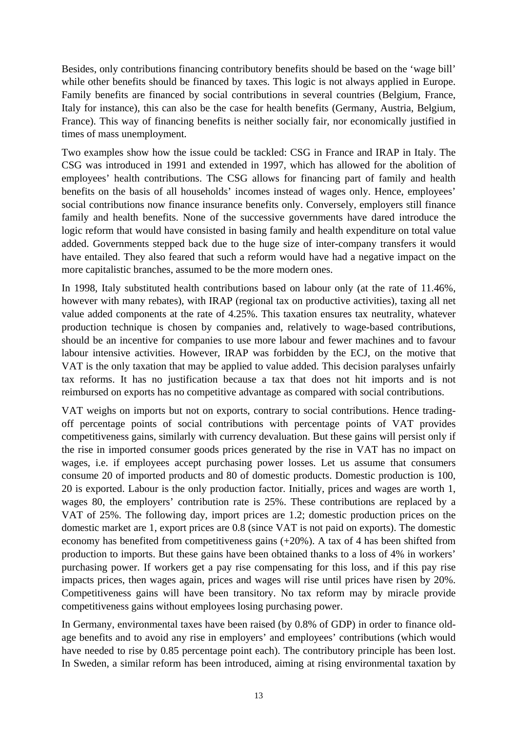Besides, only contributions financing contributory benefits should be based on the 'wage bill' while other benefits should be financed by taxes. This logic is not always applied in Europe. Family benefits are financed by social contributions in several countries (Belgium, France, Italy for instance), this can also be the case for health benefits (Germany, Austria, Belgium, France). This way of financing benefits is neither socially fair, nor economically justified in times of mass unemployment.

Two examples show how the issue could be tackled: CSG in France and IRAP in Italy. The CSG was introduced in 1991 and extended in 1997, which has allowed for the abolition of employees' health contributions. The CSG allows for financing part of family and health benefits on the basis of all households' incomes instead of wages only. Hence, employees' social contributions now finance insurance benefits only. Conversely, employers still finance family and health benefits. None of the successive governments have dared introduce the logic reform that would have consisted in basing family and health expenditure on total value added. Governments stepped back due to the huge size of inter-company transfers it would have entailed. They also feared that such a reform would have had a negative impact on the more capitalistic branches, assumed to be the more modern ones.

In 1998, Italy substituted health contributions based on labour only (at the rate of 11.46%, however with many rebates), with IRAP (regional tax on productive activities), taxing all net value added components at the rate of 4.25%. This taxation ensures tax neutrality, whatever production technique is chosen by companies and, relatively to wage-based contributions, should be an incentive for companies to use more labour and fewer machines and to favour labour intensive activities. However, IRAP was forbidden by the ECJ, on the motive that VAT is the only taxation that may be applied to value added. This decision paralyses unfairly tax reforms. It has no justification because a tax that does not hit imports and is not reimbursed on exports has no competitive advantage as compared with social contributions.

VAT weighs on imports but not on exports, contrary to social contributions. Hence tradingoff percentage points of social contributions with percentage points of VAT provides competitiveness gains, similarly with currency devaluation. But these gains will persist only if the rise in imported consumer goods prices generated by the rise in VAT has no impact on wages, i.e. if employees accept purchasing power losses. Let us assume that consumers consume 20 of imported products and 80 of domestic products. Domestic production is 100, 20 is exported. Labour is the only production factor. Initially, prices and wages are worth 1, wages 80, the employers' contribution rate is 25%. These contributions are replaced by a VAT of 25%. The following day, import prices are 1.2; domestic production prices on the domestic market are 1, export prices are 0.8 (since VAT is not paid on exports). The domestic economy has benefited from competitiveness gains (+20%). A tax of 4 has been shifted from production to imports. But these gains have been obtained thanks to a loss of 4% in workers' purchasing power. If workers get a pay rise compensating for this loss, and if this pay rise impacts prices, then wages again, prices and wages will rise until prices have risen by 20%. Competitiveness gains will have been transitory. No tax reform may by miracle provide competitiveness gains without employees losing purchasing power.

In Germany, environmental taxes have been raised (by 0.8% of GDP) in order to finance oldage benefits and to avoid any rise in employers' and employees' contributions (which would have needed to rise by 0.85 percentage point each). The contributory principle has been lost. In Sweden, a similar reform has been introduced, aiming at rising environmental taxation by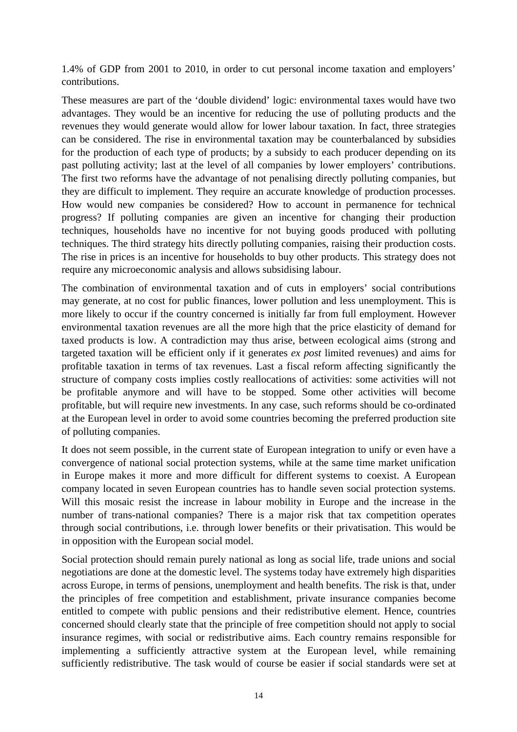1.4% of GDP from 2001 to 2010, in order to cut personal income taxation and employers' contributions.

These measures are part of the 'double dividend' logic: environmental taxes would have two advantages. They would be an incentive for reducing the use of polluting products and the revenues they would generate would allow for lower labour taxation. In fact, three strategies can be considered. The rise in environmental taxation may be counterbalanced by subsidies for the production of each type of products; by a subsidy to each producer depending on its past polluting activity; last at the level of all companies by lower employers' contributions. The first two reforms have the advantage of not penalising directly polluting companies, but they are difficult to implement. They require an accurate knowledge of production processes. How would new companies be considered? How to account in permanence for technical progress? If polluting companies are given an incentive for changing their production techniques, households have no incentive for not buying goods produced with polluting techniques. The third strategy hits directly polluting companies, raising their production costs. The rise in prices is an incentive for households to buy other products. This strategy does not require any microeconomic analysis and allows subsidising labour.

The combination of environmental taxation and of cuts in employers' social contributions may generate, at no cost for public finances, lower pollution and less unemployment. This is more likely to occur if the country concerned is initially far from full employment. However environmental taxation revenues are all the more high that the price elasticity of demand for taxed products is low. A contradiction may thus arise, between ecological aims (strong and targeted taxation will be efficient only if it generates *ex post* limited revenues) and aims for profitable taxation in terms of tax revenues. Last a fiscal reform affecting significantly the structure of company costs implies costly reallocations of activities: some activities will not be profitable anymore and will have to be stopped. Some other activities will become profitable, but will require new investments. In any case, such reforms should be co-ordinated at the European level in order to avoid some countries becoming the preferred production site of polluting companies.

It does not seem possible, in the current state of European integration to unify or even have a convergence of national social protection systems, while at the same time market unification in Europe makes it more and more difficult for different systems to coexist. A European company located in seven European countries has to handle seven social protection systems. Will this mosaic resist the increase in labour mobility in Europe and the increase in the number of trans-national companies? There is a major risk that tax competition operates through social contributions, i.e. through lower benefits or their privatisation. This would be in opposition with the European social model.

Social protection should remain purely national as long as social life, trade unions and social negotiations are done at the domestic level. The systems today have extremely high disparities across Europe, in terms of pensions, unemployment and health benefits. The risk is that, under the principles of free competition and establishment, private insurance companies become entitled to compete with public pensions and their redistributive element. Hence, countries concerned should clearly state that the principle of free competition should not apply to social insurance regimes, with social or redistributive aims. Each country remains responsible for implementing a sufficiently attractive system at the European level, while remaining sufficiently redistributive. The task would of course be easier if social standards were set at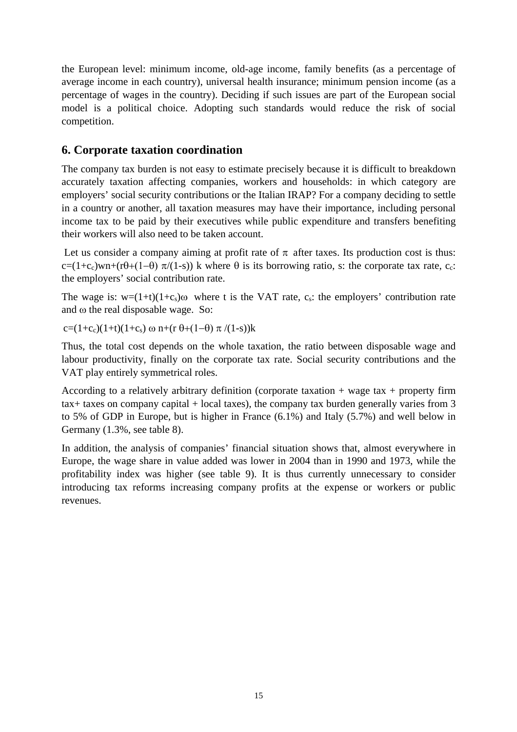the European level: minimum income, old-age income, family benefits (as a percentage of average income in each country), universal health insurance; minimum pension income (as a percentage of wages in the country). Deciding if such issues are part of the European social model is a political choice. Adopting such standards would reduce the risk of social competition.

## **6. Corporate taxation coordination**

The company tax burden is not easy to estimate precisely because it is difficult to breakdown accurately taxation affecting companies, workers and households: in which category are employers' social security contributions or the Italian IRAP? For a company deciding to settle in a country or another, all taxation measures may have their importance, including personal income tax to be paid by their executives while public expenditure and transfers benefiting their workers will also need to be taken account.

Let us consider a company aiming at profit rate of  $\pi$  after taxes. Its production cost is thus: c=(1+c<sub>c</sub>)wn+(rθ+(1-θ)  $\pi$ /(1-s)) k where  $\theta$  is its borrowing ratio, s: the corporate tax rate, c<sub>c</sub>: the employers' social contribution rate.

The wage is:  $w=(1+t)(1+c_s)\omega$  where t is the VAT rate, c<sub>s</sub>: the employers' contribution rate and ω the real disposable wage. So:

c=(1+c<sub>c</sub>)(1+t)(1+c<sub>s</sub>) ω n+(r θ+(1-θ)  $\pi$ /(1-s))k

Thus, the total cost depends on the whole taxation, the ratio between disposable wage and labour productivity, finally on the corporate tax rate. Social security contributions and the VAT play entirely symmetrical roles.

According to a relatively arbitrary definition (corporate taxation  $+$  wage tax  $+$  property firm tax+ taxes on company capital + local taxes), the company tax burden generally varies from 3 to 5% of GDP in Europe, but is higher in France (6.1%) and Italy (5.7%) and well below in Germany (1.3%, see table 8).

In addition, the analysis of companies' financial situation shows that, almost everywhere in Europe, the wage share in value added was lower in 2004 than in 1990 and 1973, while the profitability index was higher (see table 9). It is thus currently unnecessary to consider introducing tax reforms increasing company profits at the expense or workers or public revenues.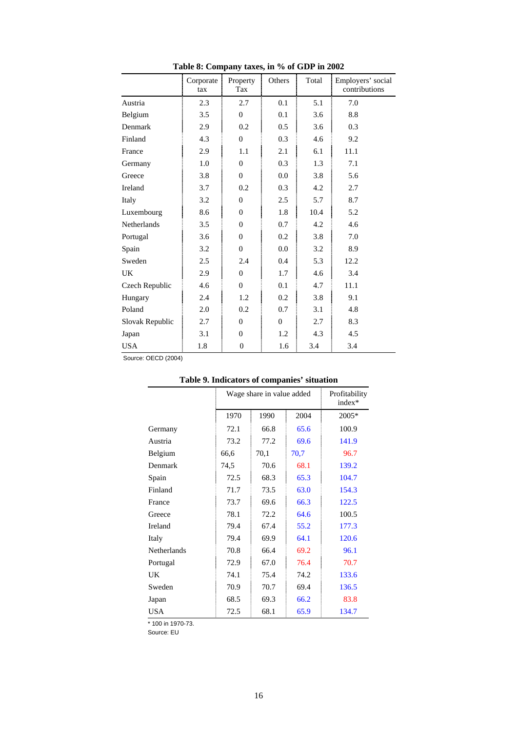|                 | $14000$ of Company taxes, in 70 of GD1 in 2002<br>Corporate<br>tax | Property<br>Tax | Others         | Total | Employers' social<br>contributions |
|-----------------|--------------------------------------------------------------------|-----------------|----------------|-------|------------------------------------|
| Austria         | 2.3                                                                | 2.7             | 0.1            | 5.1   | 7.0                                |
| Belgium         | 3.5                                                                | $\overline{0}$  | 0.1            | 3.6   | 8.8                                |
| Denmark         | 2.9                                                                | 0.2             | 0.5            | 3.6   | 0.3                                |
| Finland         | 4.3                                                                | $\theta$        | 0.3            | 4.6   | 9.2                                |
| France          | 2.9                                                                | 1.1             | 2.1            | 6.1   | 11.1                               |
| Germany         | 1.0                                                                | $\overline{0}$  | 0.3            | 1.3   | 7.1                                |
| Greece          | 3.8                                                                | $\overline{0}$  | 0.0            | 3.8   | 5.6                                |
| Ireland         | 3.7                                                                | 0.2             | 0.3            | 4.2   | 2.7                                |
| Italy           | 3.2                                                                | $\theta$        | 2.5            | 5.7   | 8.7                                |
| Luxembourg      | 8.6                                                                | $\overline{0}$  | 1.8            | 10.4  | 5.2                                |
| Netherlands     | 3.5                                                                | $\overline{0}$  | 0.7            | 4.2   | 4.6                                |
| Portugal        | 3.6                                                                | $\overline{0}$  | 0.2            | 3.8   | 7.0                                |
| Spain           | 3.2                                                                | $\overline{0}$  | 0.0            | 3.2   | 8.9                                |
| Sweden          | 2.5                                                                | 2.4             | 0.4            | 5.3   | 12.2                               |
| UK              | 2.9                                                                | $\overline{0}$  | 1.7            | 4.6   | 3.4                                |
| Czech Republic  | 4.6                                                                | $\overline{0}$  | 0.1            | 4.7   | 11.1                               |
| Hungary         | 2.4                                                                | 1.2             | 0.2            | 3.8   | 9.1                                |
| Poland          | 2.0                                                                | 0.2             | 0.7            | 3.1   | 4.8                                |
| Slovak Republic | 2.7                                                                | $\theta$        | $\overline{0}$ | 2.7   | 8.3                                |
| Japan           | 3.1                                                                | $\overline{0}$  | 1.2            | 4.3   | 4.5                                |
| <b>USA</b>      | 1.8                                                                | $\mathbf{0}$    | 1.6            | 3.4   | 3.4                                |

**Table 8: Company taxes, in % of GDP in 2002**

Source: OECD (2004)

|                   | Wage share in value added |      |      | Profitability<br>$index*$ |
|-------------------|---------------------------|------|------|---------------------------|
|                   | 1970                      | 1990 | 2004 | 2005*                     |
| Germany           | 72.1                      | 66.8 | 65.6 | 100.9                     |
| Austria           | 73.2                      | 77.2 | 69.6 | 141.9                     |
| Belgium           | 66,6                      | 70,1 | 70,7 | 96.7                      |
| Denmark           | 74,5                      | 70.6 | 68.1 | 139.2                     |
| Spain             | 72.5                      | 68.3 | 65.3 | 104.7                     |
| Finland           | 71.7                      | 73.5 | 63.0 | 154.3                     |
| France            | 73.7                      | 69.6 | 66.3 | 122.5                     |
| Greece            | 78.1                      | 72.2 | 64.6 | 100.5                     |
| Ireland           | 79.4                      | 67.4 | 55.2 | 177.3                     |
| Italy             | 79.4                      | 69.9 | 64.1 | 120.6                     |
| Netherlands       | 70.8                      | 66.4 | 69.2 | 96.1                      |
| Portugal          | 72.9                      | 67.0 | 76.4 | 70.7                      |
| UK                | 74.1                      | 75.4 | 74.2 | 133.6                     |
| Sweden            | 70.9                      | 70.7 | 69.4 | 136.5                     |
| Japan             | 68.5                      | 69.3 | 66.2 | 83.8                      |
| USA               | 72.5                      | 68.1 | 65.9 | 134.7                     |
| * 100 in 1970-73. |                           |      |      |                           |

### **Table 9. Indicators of companies' situation**

Source: EU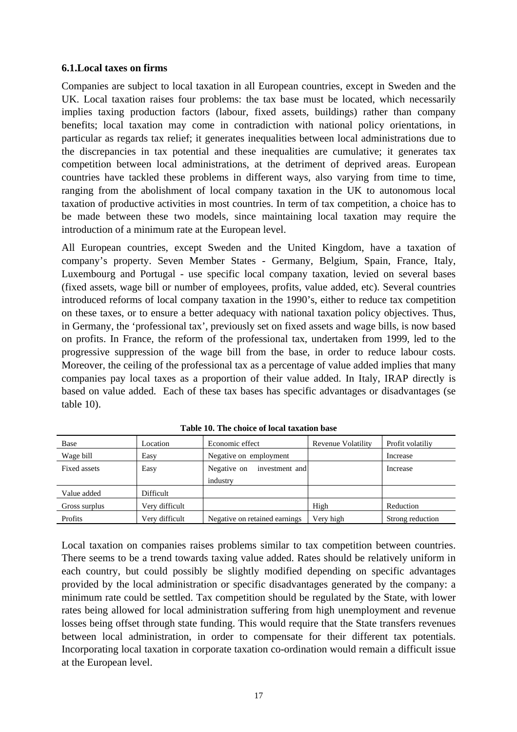#### **6.1.Local taxes on firms**

Companies are subject to local taxation in all European countries, except in Sweden and the UK. Local taxation raises four problems: the tax base must be located, which necessarily implies taxing production factors (labour, fixed assets, buildings) rather than company benefits; local taxation may come in contradiction with national policy orientations, in particular as regards tax relief; it generates inequalities between local administrations due to the discrepancies in tax potential and these inequalities are cumulative; it generates tax competition between local administrations, at the detriment of deprived areas. European countries have tackled these problems in different ways, also varying from time to time, ranging from the abolishment of local company taxation in the UK to autonomous local taxation of productive activities in most countries. In term of tax competition, a choice has to be made between these two models, since maintaining local taxation may require the introduction of a minimum rate at the European level.

All European countries, except Sweden and the United Kingdom, have a taxation of company's property. Seven Member States - Germany, Belgium, Spain, France, Italy, Luxembourg and Portugal - use specific local company taxation, levied on several bases (fixed assets, wage bill or number of employees, profits, value added, etc). Several countries introduced reforms of local company taxation in the 1990's, either to reduce tax competition on these taxes, or to ensure a better adequacy with national taxation policy objectives. Thus, in Germany, the 'professional tax', previously set on fixed assets and wage bills, is now based on profits. In France, the reform of the professional tax, undertaken from 1999, led to the progressive suppression of the wage bill from the base, in order to reduce labour costs. Moreover, the ceiling of the professional tax as a percentage of value added implies that many companies pay local taxes as a proportion of their value added. In Italy, IRAP directly is based on value added. Each of these tax bases has specific advantages or disadvantages (se table 10).

| Base          | Location       | Economic effect               | Revenue Volatility | Profit volatiliy |
|---------------|----------------|-------------------------------|--------------------|------------------|
| Wage bill     | Easy           | Negative on employment        |                    | Increase         |
| Fixed assets  | Easy           | Negative on<br>investment and |                    | Increase         |
|               |                | industry                      |                    |                  |
| Value added   | Difficult      |                               |                    |                  |
| Gross surplus | Very difficult |                               | High               | Reduction        |
| Profits       | Very difficult | Negative on retained earnings | Very high          | Strong reduction |

**Table 10. The choice of local taxation base**

Local taxation on companies raises problems similar to tax competition between countries. There seems to be a trend towards taxing value added. Rates should be relatively uniform in each country, but could possibly be slightly modified depending on specific advantages provided by the local administration or specific disadvantages generated by the company: a minimum rate could be settled. Tax competition should be regulated by the State, with lower rates being allowed for local administration suffering from high unemployment and revenue losses being offset through state funding. This would require that the State transfers revenues between local administration, in order to compensate for their different tax potentials. Incorporating local taxation in corporate taxation co-ordination would remain a difficult issue at the European level.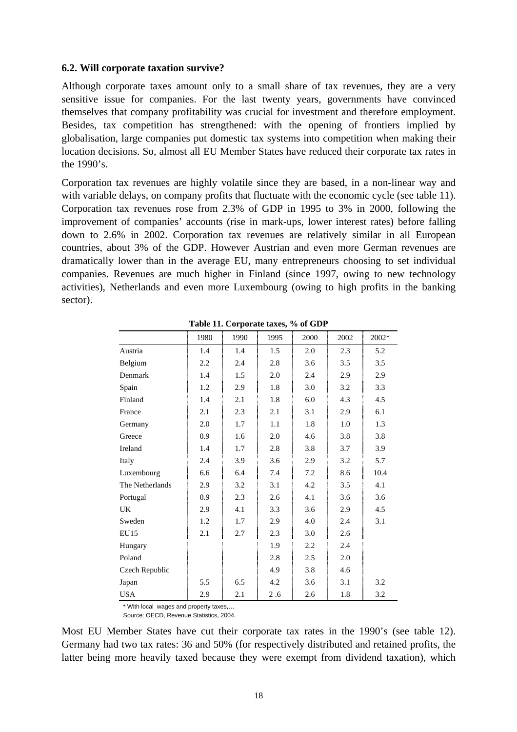#### **6.2. Will corporate taxation survive?**

Although corporate taxes amount only to a small share of tax revenues, they are a very sensitive issue for companies. For the last twenty years, governments have convinced themselves that company profitability was crucial for investment and therefore employment. Besides, tax competition has strengthened: with the opening of frontiers implied by globalisation, large companies put domestic tax systems into competition when making their location decisions. So, almost all EU Member States have reduced their corporate tax rates in the 1990's.

Corporation tax revenues are highly volatile since they are based, in a non-linear way and with variable delays, on company profits that fluctuate with the economic cycle (see table 11). Corporation tax revenues rose from 2.3% of GDP in 1995 to 3% in 2000, following the improvement of companies' accounts (rise in mark-ups, lower interest rates) before falling down to 2.6% in 2002. Corporation tax revenues are relatively similar in all European countries, about 3% of the GDP. However Austrian and even more German revenues are dramatically lower than in the average EU, many entrepreneurs choosing to set individual companies. Revenues are much higher in Finland (since 1997, owing to new technology activities), Netherlands and even more Luxembourg (owing to high profits in the banking sector).

|                 | 1980 | 1990 | 1995 | 2000 | 2002 | 2002* |
|-----------------|------|------|------|------|------|-------|
| Austria         | 1.4  | 1.4  | 1.5  | 2.0  | 2.3  | 5.2   |
| Belgium         | 2.2  | 2.4  | 2.8  | 3.6  | 3.5  | 3.5   |
| Denmark         | 1.4  | 1.5  | 2.0  | 2.4  | 2.9  | 2.9   |
| Spain           | 1.2  | 2.9  | 1.8  | 3.0  | 3.2  | 3.3   |
| Finland         | 1.4  | 2.1  | 1.8  | 6.0  | 4.3  | 4.5   |
| France          | 2.1  | 2.3  | 2.1  | 3.1  | 2.9  | 6.1   |
| Germany         | 2.0  | 1.7  | 1.1  | 1.8  | 1.0  | 1.3   |
| Greece          | 0.9  | 1.6  | 2.0  | 4.6  | 3.8  | 3.8   |
| Ireland         | 1.4  | 1.7  | 2.8  | 3.8  | 3.7  | 3.9   |
| Italy           | 2.4  | 3.9  | 3.6  | 2.9  | 3.2  | 5.7   |
| Luxembourg      | 6.6  | 6.4  | 7.4  | 7.2  | 8.6  | 10.4  |
| The Netherlands | 2.9  | 3.2  | 3.1  | 4.2  | 3.5  | 4.1   |
| Portugal        | 0.9  | 2.3  | 2.6  | 4.1  | 3.6  | 3.6   |
| <b>UK</b>       | 2.9  | 4.1  | 3.3  | 3.6  | 2.9  | 4.5   |
| Sweden          | 1.2  | 1.7  | 2.9  | 4.0  | 2.4  | 3.1   |
| EU15            | 2.1  | 2.7  | 2.3  | 3.0  | 2.6  |       |
| Hungary         |      |      | 1.9  | 2.2  | 2.4  |       |
| Poland          |      |      | 2.8  | 2.5  | 2.0  |       |
| Czech Republic  |      |      | 4.9  | 3.8  | 4.6  |       |
| Japan           | 5.5  | 6.5  | 4.2  | 3.6  | 3.1  | 3.2   |
| <b>USA</b>      | 2.9  | 2.1  | 2.6  | 2.6  | 1.8  | 3.2   |

**Table 11. Corporate taxes, % of GDP** 

\* With local wages and property taxes,…

Source: OECD, Revenue Statistics, 2004.

Most EU Member States have cut their corporate tax rates in the 1990's (see table 12). Germany had two tax rates: 36 and 50% (for respectively distributed and retained profits, the latter being more heavily taxed because they were exempt from dividend taxation), which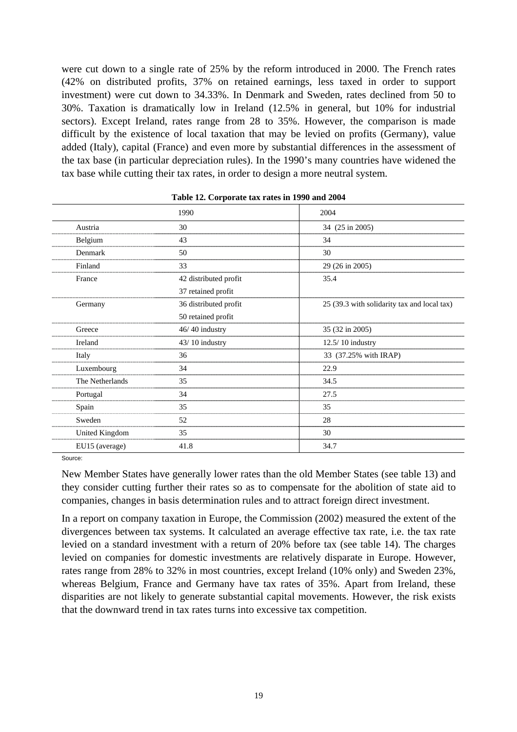were cut down to a single rate of 25% by the reform introduced in 2000. The French rates (42% on distributed profits, 37% on retained earnings, less taxed in order to support investment) were cut down to 34.33%. In Denmark and Sweden, rates declined from 50 to 30%. Taxation is dramatically low in Ireland (12.5% in general, but 10% for industrial sectors). Except Ireland, rates range from 28 to 35%. However, the comparison is made difficult by the existence of local taxation that may be levied on profits (Germany), value added (Italy), capital (France) and even more by substantial differences in the assessment of the tax base (in particular depreciation rules). In the 1990's many countries have widened the tax base while cutting their tax rates, in order to design a more neutral system.

|                 | 1990                  | 2004                                        |
|-----------------|-----------------------|---------------------------------------------|
| Austria         | 30                    | 34 (25 in 2005)                             |
| Belgium         | 43                    | 34                                          |
| Denmark         | 50                    | 30                                          |
| Finland         | 33                    | 29 (26 in 2005)                             |
| France          | 42 distributed profit | 35.4                                        |
|                 | 37 retained profit    |                                             |
| Germany         | 36 distributed profit | 25 (39.3 with solidarity tax and local tax) |
|                 | 50 retained profit    |                                             |
| Greece          | $46/40$ industry      | 35 (32 in 2005)                             |
| Ireland         | 43/10 industry        | 12.5/10 industry                            |
| Italy           | 36                    | 33 (37.25% with IRAP)                       |
| Luxembourg      | 34                    | 22.9                                        |
| The Netherlands | 35                    | 34.5                                        |
| Portugal        | 34                    | 27.5                                        |
| Spain           | 35                    | 35                                          |
| Sweden          | 52                    | 28                                          |
| United Kingdom  | 35                    | 30                                          |
| EU15 (average)  | 41.8                  | 34.7                                        |

|  | Table 12. Corporate tax rates in 1990 and 2004 |  |  |  |
|--|------------------------------------------------|--|--|--|
|--|------------------------------------------------|--|--|--|

Source:

New Member States have generally lower rates than the old Member States (see table 13) and they consider cutting further their rates so as to compensate for the abolition of state aid to companies, changes in basis determination rules and to attract foreign direct investment.

In a report on company taxation in Europe, the Commission (2002) measured the extent of the divergences between tax systems. It calculated an average effective tax rate, i.e. the tax rate levied on a standard investment with a return of 20% before tax (see table 14). The charges levied on companies for domestic investments are relatively disparate in Europe. However, rates range from 28% to 32% in most countries, except Ireland (10% only) and Sweden 23%, whereas Belgium, France and Germany have tax rates of 35%. Apart from Ireland, these disparities are not likely to generate substantial capital movements. However, the risk exists that the downward trend in tax rates turns into excessive tax competition.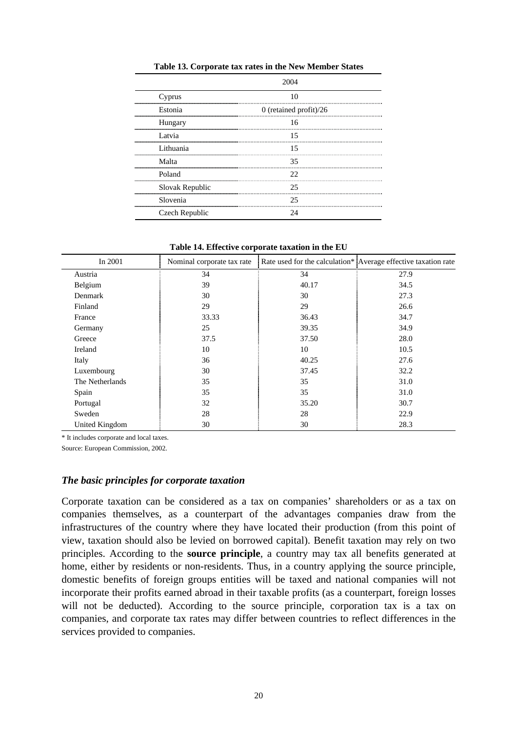| Cyprus<br>      |                        |
|-----------------|------------------------|
| Estonia         | 0 (retained profit)/26 |
| Hungary         | 16                     |
| Latvia          | 15                     |
| Lithuania       | 15                     |
| Malta           | 35                     |
| Poland<br>      | רר                     |
| Slovak Republic | 25                     |
| Slovenia        | 25                     |
| Czech Republic  |                        |

**Table 13. Corporate tax rates in the New Member States**

**Table 14. Effective corporate taxation in the EU**

| In 2001         | Nominal corporate tax rate |       | Rate used for the calculation* Average effective taxation rate |
|-----------------|----------------------------|-------|----------------------------------------------------------------|
| Austria         | 34                         | 34    | 27.9                                                           |
| Belgium         | 39                         | 40.17 | 34.5                                                           |
| Denmark         | 30                         | 30    | 27.3                                                           |
| Finland         | 29                         | 29    | 26.6                                                           |
| France          | 33.33                      | 36.43 | 34.7                                                           |
| Germany         | 25                         | 39.35 | 34.9                                                           |
| Greece          | 37.5                       | 37.50 | 28.0                                                           |
| Ireland         | 10                         | 10    | 10.5                                                           |
| Italy           | 36                         | 40.25 | 27.6                                                           |
| Luxembourg      | 30                         | 37.45 | 32.2                                                           |
| The Netherlands | 35                         | 35    | 31.0                                                           |
| Spain           | 35                         | 35    | 31.0                                                           |
| Portugal        | 32                         | 35.20 | 30.7                                                           |
| Sweden          | 28                         | 28    | 22.9                                                           |
| United Kingdom  | 30                         | 30    | 28.3                                                           |

\* It includes corporate and local taxes.

Source: European Commission, 2002.

#### *The basic principles for corporate taxation*

Corporate taxation can be considered as a tax on companies' shareholders or as a tax on companies themselves, as a counterpart of the advantages companies draw from the infrastructures of the country where they have located their production (from this point of view, taxation should also be levied on borrowed capital). Benefit taxation may rely on two principles. According to the **source principle**, a country may tax all benefits generated at home, either by residents or non-residents. Thus, in a country applying the source principle, domestic benefits of foreign groups entities will be taxed and national companies will not incorporate their profits earned abroad in their taxable profits (as a counterpart, foreign losses will not be deducted). According to the source principle, corporation tax is a tax on companies, and corporate tax rates may differ between countries to reflect differences in the services provided to companies.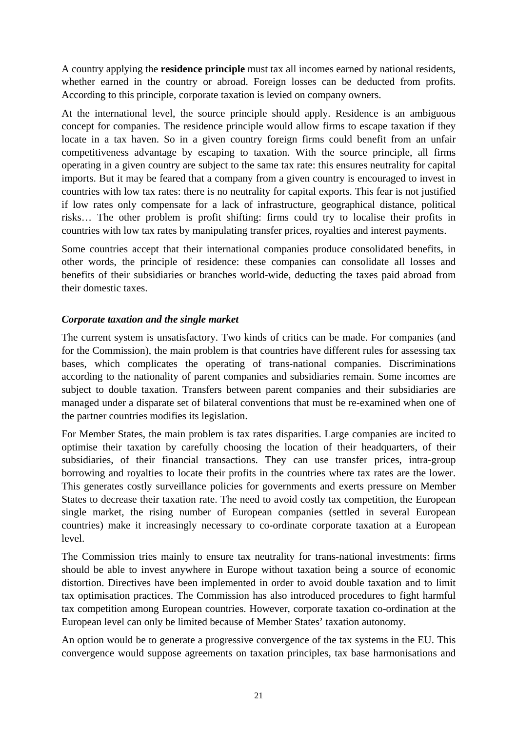A country applying the **residence principle** must tax all incomes earned by national residents, whether earned in the country or abroad. Foreign losses can be deducted from profits. According to this principle, corporate taxation is levied on company owners.

At the international level, the source principle should apply. Residence is an ambiguous concept for companies. The residence principle would allow firms to escape taxation if they locate in a tax haven. So in a given country foreign firms could benefit from an unfair competitiveness advantage by escaping to taxation. With the source principle, all firms operating in a given country are subject to the same tax rate: this ensures neutrality for capital imports. But it may be feared that a company from a given country is encouraged to invest in countries with low tax rates: there is no neutrality for capital exports. This fear is not justified if low rates only compensate for a lack of infrastructure, geographical distance, political risks… The other problem is profit shifting: firms could try to localise their profits in countries with low tax rates by manipulating transfer prices, royalties and interest payments.

Some countries accept that their international companies produce consolidated benefits, in other words, the principle of residence: these companies can consolidate all losses and benefits of their subsidiaries or branches world-wide, deducting the taxes paid abroad from their domestic taxes.

#### *Corporate taxation and the single market*

The current system is unsatisfactory. Two kinds of critics can be made. For companies (and for the Commission), the main problem is that countries have different rules for assessing tax bases, which complicates the operating of trans-national companies. Discriminations according to the nationality of parent companies and subsidiaries remain. Some incomes are subject to double taxation. Transfers between parent companies and their subsidiaries are managed under a disparate set of bilateral conventions that must be re-examined when one of the partner countries modifies its legislation.

For Member States, the main problem is tax rates disparities. Large companies are incited to optimise their taxation by carefully choosing the location of their headquarters, of their subsidiaries, of their financial transactions. They can use transfer prices, intra-group borrowing and royalties to locate their profits in the countries where tax rates are the lower. This generates costly surveillance policies for governments and exerts pressure on Member States to decrease their taxation rate. The need to avoid costly tax competition, the European single market, the rising number of European companies (settled in several European countries) make it increasingly necessary to co-ordinate corporate taxation at a European level.

The Commission tries mainly to ensure tax neutrality for trans-national investments: firms should be able to invest anywhere in Europe without taxation being a source of economic distortion. Directives have been implemented in order to avoid double taxation and to limit tax optimisation practices. The Commission has also introduced procedures to fight harmful tax competition among European countries. However, corporate taxation co-ordination at the European level can only be limited because of Member States' taxation autonomy.

An option would be to generate a progressive convergence of the tax systems in the EU. This convergence would suppose agreements on taxation principles, tax base harmonisations and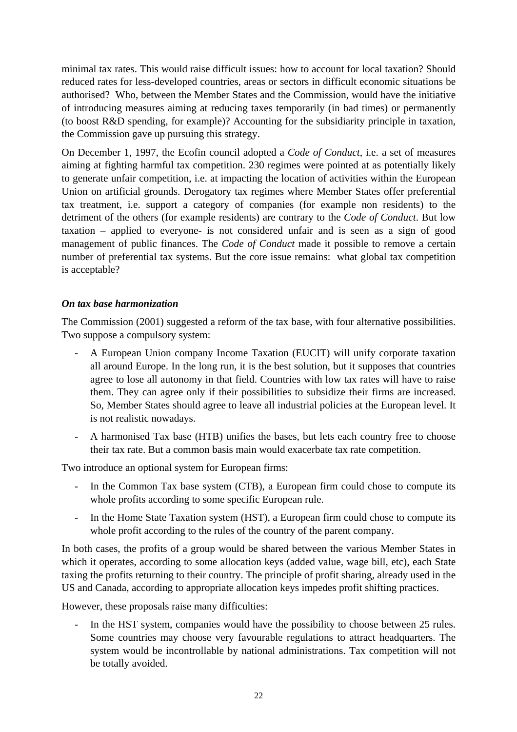minimal tax rates. This would raise difficult issues: how to account for local taxation? Should reduced rates for less-developed countries, areas or sectors in difficult economic situations be authorised? Who, between the Member States and the Commission, would have the initiative of introducing measures aiming at reducing taxes temporarily (in bad times) or permanently (to boost R&D spending, for example)? Accounting for the subsidiarity principle in taxation, the Commission gave up pursuing this strategy.

On December 1, 1997, the Ecofin council adopted a *Code of Conduct*, i.e. a set of measures aiming at fighting harmful tax competition. 230 regimes were pointed at as potentially likely to generate unfair competition, i.e. at impacting the location of activities within the European Union on artificial grounds. Derogatory tax regimes where Member States offer preferential tax treatment, i.e. support a category of companies (for example non residents) to the detriment of the others (for example residents) are contrary to the *Code of Conduct*. But low taxation – applied to everyone- is not considered unfair and is seen as a sign of good management of public finances. The *Code of Conduct* made it possible to remove a certain number of preferential tax systems. But the core issue remains: what global tax competition is acceptable?

### *On tax base harmonization*

The Commission (2001) suggested a reform of the tax base, with four alternative possibilities. Two suppose a compulsory system:

- A European Union company Income Taxation (EUCIT) will unify corporate taxation all around Europe. In the long run, it is the best solution, but it supposes that countries agree to lose all autonomy in that field. Countries with low tax rates will have to raise them. They can agree only if their possibilities to subsidize their firms are increased. So, Member States should agree to leave all industrial policies at the European level. It is not realistic nowadays.
- A harmonised Tax base (HTB) unifies the bases, but lets each country free to choose their tax rate. But a common basis main would exacerbate tax rate competition.

Two introduce an optional system for European firms:

- In the Common Tax base system (CTB), a European firm could chose to compute its whole profits according to some specific European rule.
- In the Home State Taxation system (HST), a European firm could chose to compute its whole profit according to the rules of the country of the parent company.

In both cases, the profits of a group would be shared between the various Member States in which it operates, according to some allocation keys (added value, wage bill, etc), each State taxing the profits returning to their country. The principle of profit sharing, already used in the US and Canada, according to appropriate allocation keys impedes profit shifting practices.

However, these proposals raise many difficulties:

In the HST system, companies would have the possibility to choose between 25 rules. Some countries may choose very favourable regulations to attract headquarters. The system would be incontrollable by national administrations. Tax competition will not be totally avoided.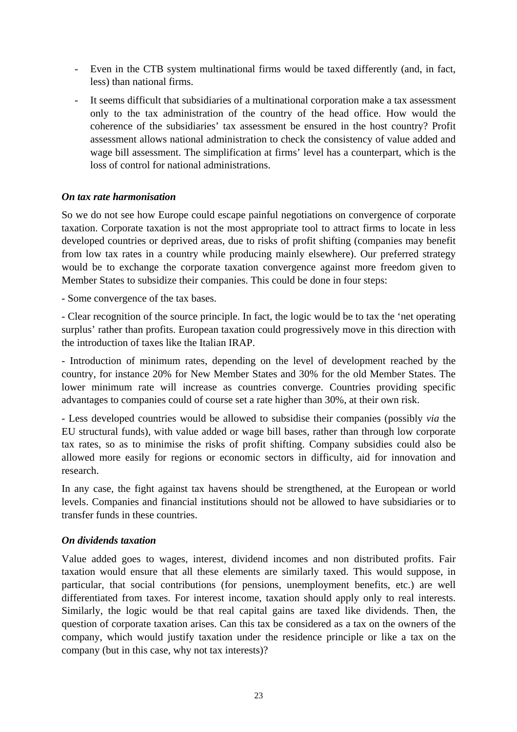- Even in the CTB system multinational firms would be taxed differently (and, in fact, less) than national firms.
- It seems difficult that subsidiaries of a multinational corporation make a tax assessment only to the tax administration of the country of the head office. How would the coherence of the subsidiaries' tax assessment be ensured in the host country? Profit assessment allows national administration to check the consistency of value added and wage bill assessment. The simplification at firms' level has a counterpart, which is the loss of control for national administrations.

#### *On tax rate harmonisation*

So we do not see how Europe could escape painful negotiations on convergence of corporate taxation. Corporate taxation is not the most appropriate tool to attract firms to locate in less developed countries or deprived areas, due to risks of profit shifting (companies may benefit from low tax rates in a country while producing mainly elsewhere). Our preferred strategy would be to exchange the corporate taxation convergence against more freedom given to Member States to subsidize their companies. This could be done in four steps:

- Some convergence of the tax bases.

- Clear recognition of the source principle. In fact, the logic would be to tax the 'net operating surplus' rather than profits. European taxation could progressively move in this direction with the introduction of taxes like the Italian IRAP.

- Introduction of minimum rates, depending on the level of development reached by the country, for instance 20% for New Member States and 30% for the old Member States. The lower minimum rate will increase as countries converge. Countries providing specific advantages to companies could of course set a rate higher than 30%, at their own risk.

- Less developed countries would be allowed to subsidise their companies (possibly *via* the EU structural funds), with value added or wage bill bases, rather than through low corporate tax rates, so as to minimise the risks of profit shifting. Company subsidies could also be allowed more easily for regions or economic sectors in difficulty, aid for innovation and research.

In any case, the fight against tax havens should be strengthened, at the European or world levels. Companies and financial institutions should not be allowed to have subsidiaries or to transfer funds in these countries.

#### *On dividends taxation*

Value added goes to wages, interest, dividend incomes and non distributed profits. Fair taxation would ensure that all these elements are similarly taxed. This would suppose, in particular, that social contributions (for pensions, unemployment benefits, etc.) are well differentiated from taxes. For interest income, taxation should apply only to real interests. Similarly, the logic would be that real capital gains are taxed like dividends. Then, the question of corporate taxation arises. Can this tax be considered as a tax on the owners of the company, which would justify taxation under the residence principle or like a tax on the company (but in this case, why not tax interests)?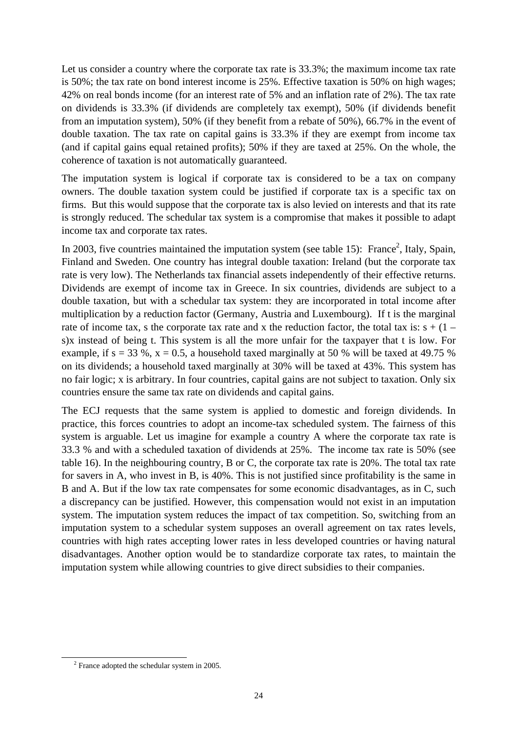Let us consider a country where the corporate tax rate is 33.3%; the maximum income tax rate is 50%; the tax rate on bond interest income is 25%. Effective taxation is 50% on high wages; 42% on real bonds income (for an interest rate of 5% and an inflation rate of 2%). The tax rate on dividends is 33.3% (if dividends are completely tax exempt), 50% (if dividends benefit from an imputation system), 50% (if they benefit from a rebate of 50%), 66.7% in the event of double taxation. The tax rate on capital gains is 33.3% if they are exempt from income tax (and if capital gains equal retained profits); 50% if they are taxed at 25%. On the whole, the coherence of taxation is not automatically guaranteed.

The imputation system is logical if corporate tax is considered to be a tax on company owners. The double taxation system could be justified if corporate tax is a specific tax on firms. But this would suppose that the corporate tax is also levied on interests and that its rate is strongly reduced. The schedular tax system is a compromise that makes it possible to adapt income tax and corporate tax rates.

In [2](#page-23-0)003, five countries maintained the imputation system (see table 15): France<sup>2</sup>, Italy, Spain, Finland and Sweden. One country has integral double taxation: Ireland (but the corporate tax rate is very low). The Netherlands tax financial assets independently of their effective returns. Dividends are exempt of income tax in Greece. In six countries, dividends are subject to a double taxation, but with a schedular tax system: they are incorporated in total income after multiplication by a reduction factor (Germany, Austria and Luxembourg). If t is the marginal rate of income tax, s the corporate tax rate and x the reduction factor, the total tax is:  $s + (1$ s)x instead of being t. This system is all the more unfair for the taxpayer that t is low. For example, if  $s = 33 \%$ ,  $x = 0.5$ , a household taxed marginally at 50 % will be taxed at 49.75 % on its dividends; a household taxed marginally at 30% will be taxed at 43%. This system has no fair logic; x is arbitrary. In four countries, capital gains are not subject to taxation. Only six countries ensure the same tax rate on dividends and capital gains.

The ECJ requests that the same system is applied to domestic and foreign dividends. In practice, this forces countries to adopt an income-tax scheduled system. The fairness of this system is arguable. Let us imagine for example a country A where the corporate tax rate is 33.3 % and with a scheduled taxation of dividends at 25%. The income tax rate is 50% (see table 16). In the neighbouring country, B or C, the corporate tax rate is 20%. The total tax rate for savers in A, who invest in B, is 40%. This is not justified since profitability is the same in B and A. But if the low tax rate compensates for some economic disadvantages, as in C, such a discrepancy can be justified. However, this compensation would not exist in an imputation system. The imputation system reduces the impact of tax competition. So, switching from an imputation system to a schedular system supposes an overall agreement on tax rates levels, countries with high rates accepting lower rates in less developed countries or having natural disadvantages. Another option would be to standardize corporate tax rates, to maintain the imputation system while allowing countries to give direct subsidies to their companies.

<span id="page-23-0"></span> <sup>2</sup> France adopted the schedular system in 2005.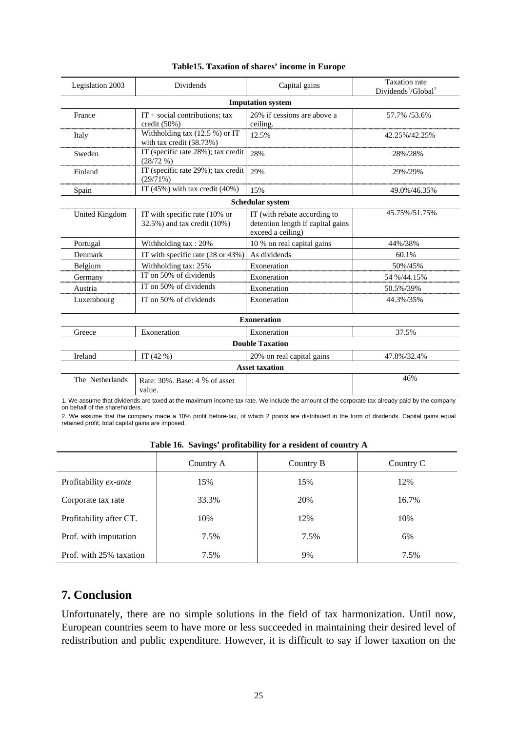| Legislation 2003 | <b>Dividends</b>                                               | Capital gains                                                                          | <b>Taxation</b> rate<br>Dividends <sup>1</sup> /Global <sup>2</sup> |
|------------------|----------------------------------------------------------------|----------------------------------------------------------------------------------------|---------------------------------------------------------------------|
|                  |                                                                | <b>Imputation system</b>                                                               |                                                                     |
| France           | $IT + social contributions; tax$<br>credit $(50\%)$            | 26% if cessions are above a<br>ceiling.                                                | 57.7% /53.6%                                                        |
| Italy            | Withholding tax $(12.5\%)$ or IT<br>with tax credit $(58.73%)$ | 12.5%                                                                                  | 42.25%/42.25%                                                       |
| Sweden           | IT (specific rate 28%); tax credit<br>(28/72%)                 | 28%                                                                                    | 28%/28%                                                             |
| Finland          | IT (specific rate 29%); tax credit<br>(29/71%)                 | 29%                                                                                    | 29%/29%                                                             |
| Spain            | IT $(45\%)$ with tax credit $(40\%)$                           | 15%                                                                                    | 49.0%/46.35%                                                        |
|                  |                                                                | <b>Schedular system</b>                                                                |                                                                     |
| United Kingdom   | IT with specific rate (10% or<br>32.5%) and tax credit (10%)   | IT (with rebate according to<br>detention length if capital gains<br>exceed a ceiling) | 45.75%/51.75%                                                       |
| Portugal         | Withholding tax: 20%                                           | 10 % on real capital gains                                                             | 44%/38%                                                             |
| Denmark          | IT with specific rate (28 or 43%)                              | As dividends                                                                           | 60.1%                                                               |
| Belgium          | Withholding tax: 25%                                           | Exoneration                                                                            | 50%/45%                                                             |
| Germany          | IT on 50% of dividends                                         | Exoneration                                                                            | 54 %/44.15%                                                         |
| Austria          | IT on 50% of dividends                                         | Exoneration                                                                            | 50.5%/39%                                                           |
| Luxembourg       | IT on 50% of dividends                                         | Exoneration                                                                            | 44.3%/35%                                                           |
|                  |                                                                | <b>Exoneration</b>                                                                     |                                                                     |
| Greece           | Exoneration                                                    | Exoneration                                                                            | 37.5%                                                               |
|                  |                                                                | <b>Double Taxation</b>                                                                 |                                                                     |
| Ireland          | IT $(42%$                                                      | 20% on real capital gains                                                              | 47.8%/32.4%                                                         |
|                  |                                                                | <b>Asset taxation</b>                                                                  |                                                                     |
| The Netherlands  | Rate: 30%. Base: 4 % of asset<br>value.                        |                                                                                        | 46%                                                                 |

#### **Table15. Taxation of shares' income in Europe**

1. We assume that dividends are taxed at the maximum income tax rate. We include the amount of the corporate tax already paid by the company on behalf of the shareholders.

2. We assume that the company made a 10% profit before-tax, of which 2 points are distributed in the form of dividends. Capital gains equal retained profit; total capital gains are imposed.

|  |  | Table 16. Savings' profitability for a resident of country A |  |  |  |
|--|--|--------------------------------------------------------------|--|--|--|
|--|--|--------------------------------------------------------------|--|--|--|

| Tubic To, buyings profitubility for a resident of country in |           |           |           |  |  |  |
|--------------------------------------------------------------|-----------|-----------|-----------|--|--|--|
|                                                              | Country A | Country B | Country C |  |  |  |
| Profitability ex-ante                                        | 15%       | 15%       | 12%       |  |  |  |
| Corporate tax rate                                           | 33.3%     | 20%       | 16.7%     |  |  |  |
| Profitability after CT.                                      | 10%       | 12%       | 10%       |  |  |  |
| Prof. with imputation                                        | 7.5%      | 7.5%      | 6%        |  |  |  |
| Prof. with 25% taxation                                      | 7.5%      | 9%        | 7.5%      |  |  |  |

### **7. Conclusion**

Unfortunately, there are no simple solutions in the field of tax harmonization. Until now, European countries seem to have more or less succeeded in maintaining their desired level of redistribution and public expenditure. However, it is difficult to say if lower taxation on the